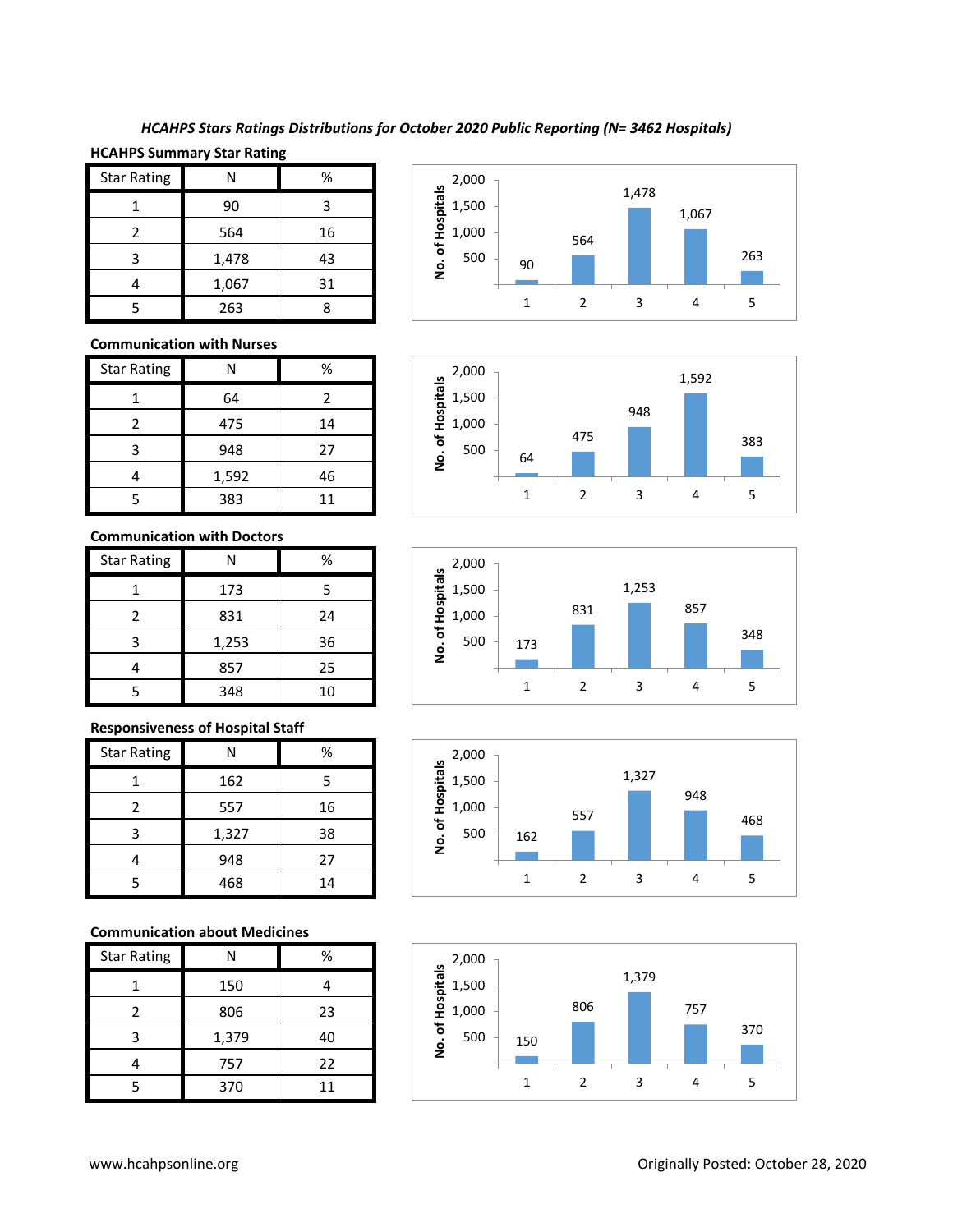# *HCAHPS Stars Ratings Distributions for October 2020 Public Reporting (N= 3462 Hospitals)*

# **HCAHPS Summary Star Rating**

| <b>Star Rating</b> | Ν     | %  |
|--------------------|-------|----|
|                    | 90    | З  |
| 2                  | 564   | 16 |
| 3                  | 1,478 | 43 |
|                    | 1,067 | 31 |
|                    | 263   |    |

### **Communication with Nurses**

| <b>Star Rating</b> | Ν     | %  |
|--------------------|-------|----|
|                    | 64    | 2  |
| 2                  | 475   | 14 |
| 3                  | 948   | 27 |
|                    | 1,592 | 46 |
|                    | 383   | 11 |

#### **Communication with Doctors**

| <b>Star Rating</b> | N     | %  |
|--------------------|-------|----|
|                    | 173   | 5  |
| 2                  | 831   | 24 |
| 3                  | 1,253 | 36 |
|                    | 857   | 25 |
| 5                  | 348   | 10 |

### **Responsiveness of Hospital Staff**

| <b>Star Rating</b> | Ν     | %  |
|--------------------|-------|----|
|                    | 162   | 5  |
| $\mathfrak z$      | 557   | 16 |
| 3                  | 1,327 | 38 |
|                    | 948   | 27 |
| 5                  | 468   | 14 |

### **Communication about Medicines**

| <b>Star Rating</b> | N     | %  |
|--------------------|-------|----|
|                    | 150   |    |
| 2                  | 806   | 23 |
| 3                  | 1,379 | 40 |
|                    | 757   | 22 |
|                    | 370   | 11 |









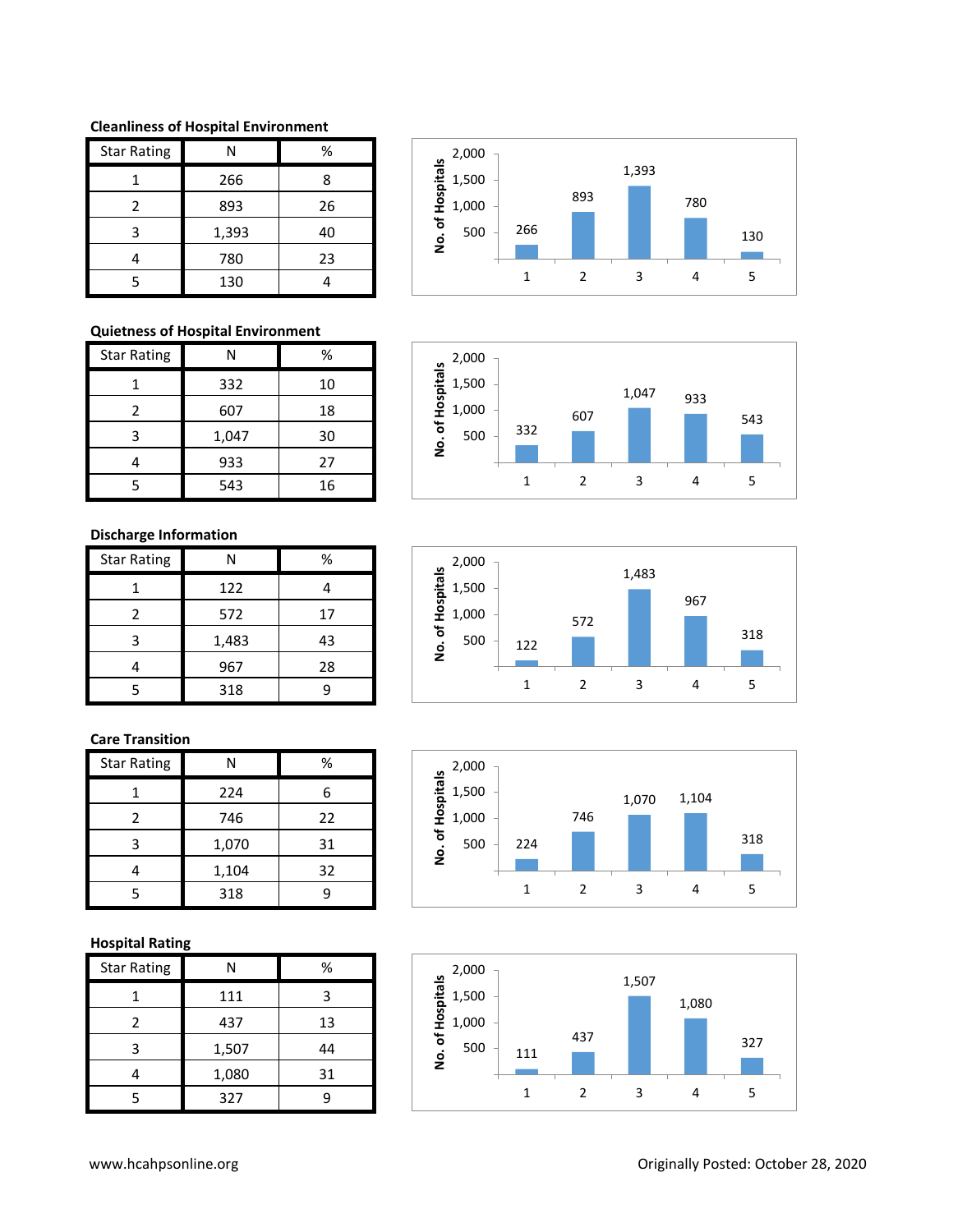**Cleanliness of Hospital Environment**

| <b>Star Rating</b> | Ν     | %  |
|--------------------|-------|----|
|                    | 266   | 8  |
| $\mathcal{P}$      | 893   | 26 |
| ς                  | 1,393 | 40 |
|                    | 780   | 23 |
|                    | 130   |    |

# **Quietness of Hospital Environment**

| <b>Star Rating</b> | Ν     | %  |
|--------------------|-------|----|
|                    | 332   | 10 |
| $\mathcal{P}$      | 607   | 18 |
| 3                  | 1,047 | 30 |
|                    | 933   | 27 |
|                    | 543   | 16 |

# **Discharge Information**

| <b>Star Rating</b> | N     | %  |
|--------------------|-------|----|
|                    | 122   |    |
| 2                  | 572   | 17 |
| 3                  | 1,483 | 43 |
|                    | 967   | 28 |
| 5                  | 318   | c  |

# **Care Transition**

| <b>Star Rating</b> |       | %  |
|--------------------|-------|----|
|                    | 224   | 6  |
| 2                  | 746   | 22 |
| 3                  | 1,070 | 31 |
|                    | 1,104 | 32 |
| 5                  | 318   | q  |

# **Hospital Rating**

| <b>Star Rating</b> | N     | %  |
|--------------------|-------|----|
|                    | 111   | з  |
| 2                  | 437   | 13 |
| 3                  | 1,507 | 44 |
|                    | 1,080 | 31 |
| 5                  | 327   |    |